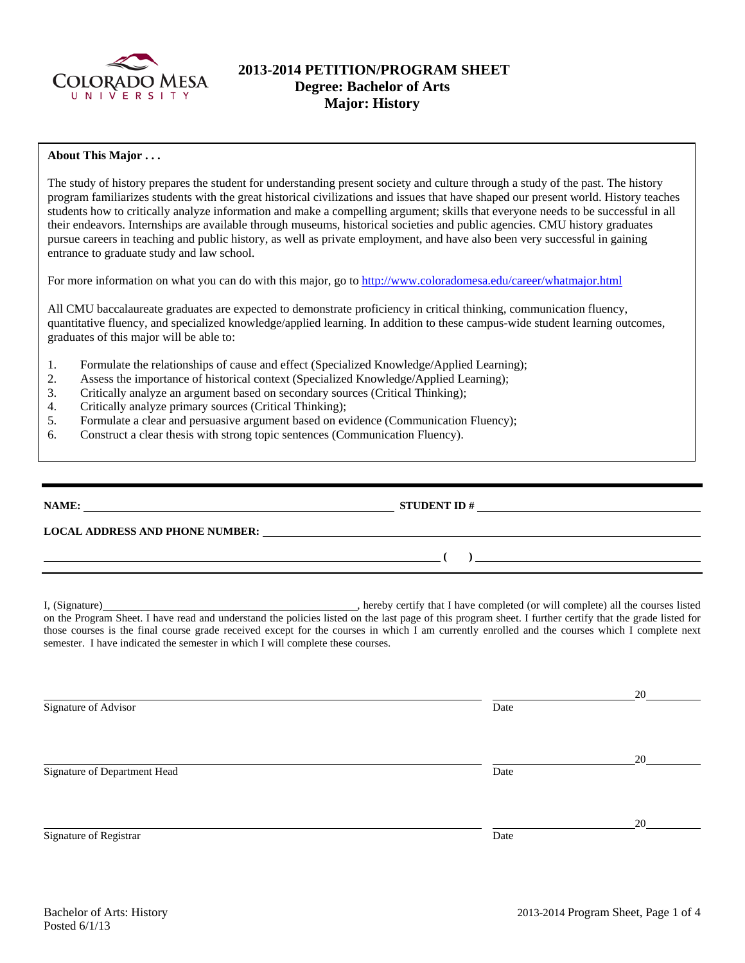

# **2013-2014 PETITION/PROGRAM SHEET Degree: Bachelor of Arts Major: History**

## **About This Major . . .**

The study of history prepares the student for understanding present society and culture through a study of the past. The history program familiarizes students with the great historical civilizations and issues that have shaped our present world. History teaches students how to critically analyze information and make a compelling argument; skills that everyone needs to be successful in all their endeavors. Internships are available through museums, historical societies and public agencies. CMU history graduates pursue careers in teaching and public history, as well as private employment, and have also been very successful in gaining entrance to graduate study and law school.

For more information on what you can do with this major, go to http://www.coloradomesa.edu/career/whatmajor.html

All CMU baccalaureate graduates are expected to demonstrate proficiency in critical thinking, communication fluency, quantitative fluency, and specialized knowledge/applied learning. In addition to these campus-wide student learning outcomes, graduates of this major will be able to:

- 1. Formulate the relationships of cause and effect (Specialized Knowledge/Applied Learning);
- 2. Assess the importance of historical context (Specialized Knowledge/Applied Learning);
- 3. Critically analyze an argument based on secondary sources (Critical Thinking);
- 4. Critically analyze primary sources (Critical Thinking);
- 5. Formulate a clear and persuasive argument based on evidence (Communication Fluency);
- 6. Construct a clear thesis with strong topic sentences (Communication Fluency).

| NAME:                                  | <b>STUDENT ID#</b> |  |
|----------------------------------------|--------------------|--|
| <b>LOCAL ADDRESS AND PHONE NUMBER:</b> |                    |  |
|                                        |                    |  |
|                                        |                    |  |

I, (Signature) , hereby certify that I have completed (or will complete) all the courses listed on the Program Sheet. I have read and understand the policies listed on the last page of this program sheet. I further certify that the grade listed for those courses is the final course grade received except for the courses in which I am currently enrolled and the courses which I complete next semester. I have indicated the semester in which I will complete these courses.

Signature of Advisor Date

Signature of Department Head Date

Signature of Registrar Date and Separature of Registrar Date

20

20

20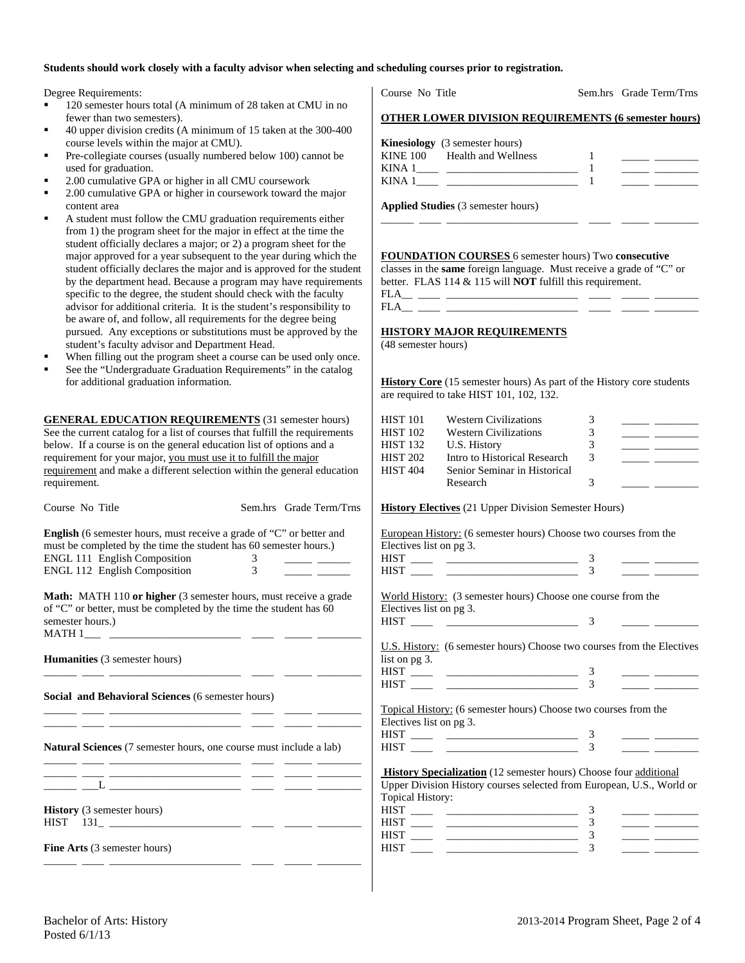# **Students should work closely with a faculty advisor when selecting and scheduling courses prior to registration.**

Degree Requirements:

- 120 semester hours total (A minimum of 28 taken at CMU in no fewer than two semesters).
- 40 upper division credits (A minimum of 15 taken at the 300-400 course levels within the major at CMU).
- Pre-collegiate courses (usually numbered below 100) cannot be used for graduation.
- 2.00 cumulative GPA or higher in all CMU coursework
- 2.00 cumulative GPA or higher in coursework toward the major content area
- A student must follow the CMU graduation requirements either from 1) the program sheet for the major in effect at the time the student officially declares a major; or 2) a program sheet for the major approved for a year subsequent to the year during which the student officially declares the major and is approved for the student by the department head. Because a program may have requirements specific to the degree, the student should check with the faculty advisor for additional criteria. It is the student's responsibility to be aware of, and follow, all requirements for the degree being pursued. Any exceptions or substitutions must be approved by the student's faculty advisor and Department Head.
- When filling out the program sheet a course can be used only once.
- See the "Undergraduate Graduation Requirements" in the catalog for additional graduation information.

**GENERAL EDUCATION REQUIREMENTS** (31 semester hours) See the current catalog for a list of courses that fulfill the requirements below. If a course is on the general education list of options and a requirement for your major, you must use it to fulfill the major requirement and make a different selection within the general education requirement.

| Course No Title                                                                                                                                                                                                                                |                                  | Sem.hrs Grade Term/Trns |
|------------------------------------------------------------------------------------------------------------------------------------------------------------------------------------------------------------------------------------------------|----------------------------------|-------------------------|
| <b>English</b> (6 semester hours, must receive a grade of "C" or better and<br>must be completed by the time the student has 60 semester hours.)<br>ENGL 111 English Composition<br>ENGL 112 English Composition                               | 3 <sup>7</sup><br>$\overline{3}$ |                         |
| <b>Math:</b> MATH 110 or higher (3 semester hours, must receive a grade<br>of "C" or better, must be completed by the time the student has 60<br>semester hours.)                                                                              |                                  |                         |
| <b>Humanities</b> (3 semester hours)                                                                                                                                                                                                           |                                  |                         |
| Social and Behavioral Sciences (6 semester hours)<br>the control of the control of the control of the control of the<br><u> 1989 - Johann John Stein, mars and de British and de British and de British and de British and de British and </u> |                                  |                         |
| <b>Natural Sciences</b> (7 semester hours, one course must include a lab)<br><u> 1980 - Johann Barn, mars ann an t-Amhair ann an t-</u>                                                                                                        |                                  |                         |
|                                                                                                                                                                                                                                                |                                  |                         |
| <b>History</b> (3 semester hours)<br>$HIST$ $131$ $\_\_$                                                                                                                                                                                       |                                  |                         |
| <b>Fine Arts</b> (3 semester hours)<br>- -<br>. .                                                                                                                                                                                              |                                  |                         |

Course No Title Sem.hrs Grade Term/Trns

# **OTHER LOWER DIVISION REQUIREMENTS (6 semester hours)**

|        | <b>Kinesiology</b> (3 semester hours) |  |  |
|--------|---------------------------------------|--|--|
|        | KINE 100 Health and Wellness          |  |  |
| KINA 1 |                                       |  |  |
| KINA.  |                                       |  |  |

\_\_\_\_\_\_ \_\_\_\_ \_\_\_\_\_\_\_\_\_\_\_\_\_\_\_\_\_\_\_\_\_\_\_\_ \_\_\_\_ \_\_\_\_\_ \_\_\_\_\_\_\_\_

**Applied Studies** (3 semester hours)

**FOUNDATION COURSES** 6 semester hours) Two **consecutive**

classes in the **same** foreign language. Must receive a grade of "C" or better. FLAS 114 & 115 will **NOT** fulfill this requirement.

 $\begin{tabular}{cccccccccccccc} \bf FLA & \it \text{---} & \it \text{---} & \it \text{---} & \it \text{---} & \it \text{---} & \it \text{---} & \it \text{---} & \it \text{---} & \it \text{---} & \it \text{---} & \it \text{---} & \it \text{---} & \it \text{---} & \it \text{---} & \it \text{---} & \it \text{---} & \it \text{---} & \it \text{---} & \it \text{---} & \it \text{---} & \it \text{---} & \it \text{---} & \it \text{---} & \it \text{---} & \it \text{---} & \it \text$  $FLA$ <sub>\_\_\_</sub> \_\_

#### **HISTORY MAJOR REQUIREMENTS**

(48 semester hours)

**History Core** (15 semester hours) As part of the History core students are required to take HIST 101, 102, 132.

| HIST 101        | <b>Western Civilizations</b> |   |  |
|-----------------|------------------------------|---|--|
| <b>HIST 102</b> | <b>Western Civilizations</b> |   |  |
| HIST 132        | U.S. History                 |   |  |
| HIST 202        | Intro to Historical Research | 3 |  |
| <b>HIST 404</b> | Senior Seminar in Historical |   |  |
|                 | Research                     |   |  |

## **History Electives** (21 Upper Division Semester Hours)

European History: (6 semester hours) Choose two courses from the Electives list on pg 3.

| . |  |  |
|---|--|--|
|   |  |  |

World History: (3 semester hours) Choose one course from the Electives list on pg 3.

HIST \_\_\_\_ \_\_\_\_\_\_\_\_\_\_\_\_\_\_\_\_\_\_\_\_\_\_\_\_ 3 \_\_\_\_\_ \_\_\_\_\_\_\_\_

|               | U.S. History: (6 semester hours) Choose two courses from the Electives |
|---------------|------------------------------------------------------------------------|
| list on pg 3. |                                                                        |

Topical History: (6 semester hours) Choose two courses from the Electives list on pg 3.

**History Specialization** (12 semester hours) Choose four additional Upper Division History courses selected from European, U.S., World or Topical History:

| __<br><b>HIST</b>   |  |  |
|---------------------|--|--|
| <b>HIST</b><br>,,,, |  |  |
| <b>HIST</b>         |  |  |
| нкт                 |  |  |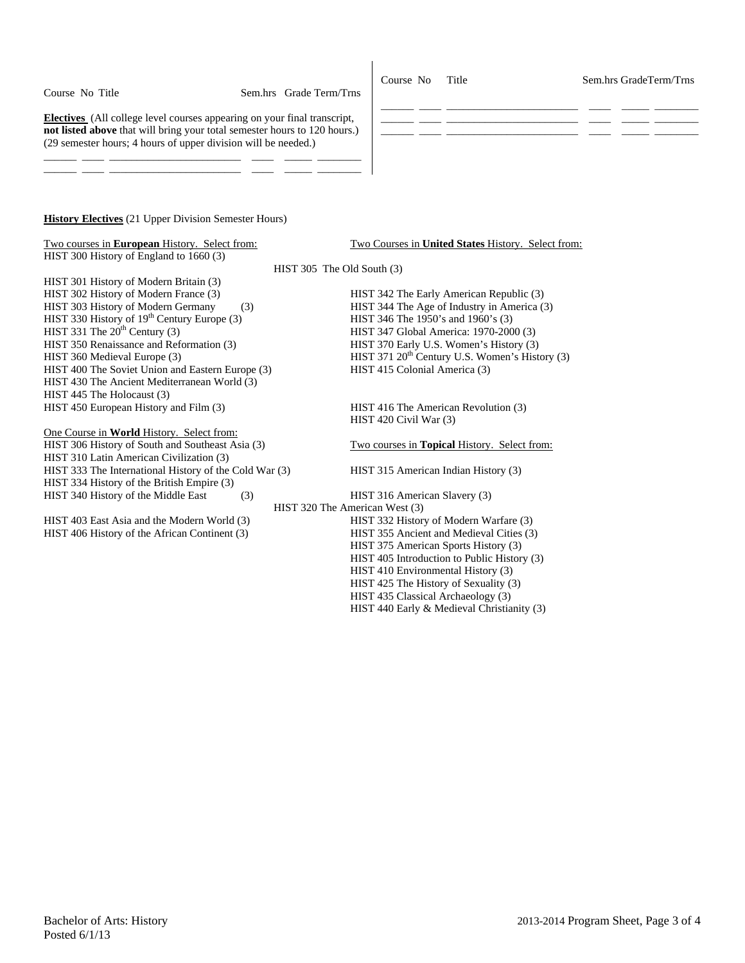Course No Title Sem.hrs GradeTerm/Trns

 $\frac{\partial \mathbf{u}}{\partial \mathbf{u}} = \frac{\partial \mathbf{u}}{\partial \mathbf{u}} = \frac{\partial \mathbf{u}}{\partial \mathbf{u}} = \frac{\partial \mathbf{u}}{\partial \mathbf{u}} = \frac{\partial \mathbf{u}}{\partial \mathbf{u}} = \frac{\partial \mathbf{u}}{\partial \mathbf{u}} = \frac{\partial \mathbf{u}}{\partial \mathbf{u}} = \frac{\partial \mathbf{u}}{\partial \mathbf{u}} = \frac{\partial \mathbf{u}}{\partial \mathbf{u}} = \frac{\partial \mathbf{u}}{\partial \mathbf{u}} = \frac{\partial \mathbf{u}}{\partial \mathbf{u}} = \frac{\partial \mathbf{u}}{\$ 

**Electives** (All college level courses appearing on your final transcript, **not listed above** that will bring your total semester hours to 120 hours.) (29 semester hours; 4 hours of upper division will be needed.)

\_\_\_\_\_\_ \_\_\_\_ \_\_\_\_\_\_\_\_\_\_\_\_\_\_\_\_\_\_\_\_\_\_\_\_ \_\_\_\_ \_\_\_\_\_ \_\_\_\_\_\_\_\_ \_\_\_\_\_\_ \_\_\_\_ \_\_\_\_\_\_\_\_\_\_\_\_\_\_\_\_\_\_\_\_\_\_\_\_ \_\_\_\_ \_\_\_\_\_ \_\_\_\_\_\_\_\_

#### **History Electives** (21 Upper Division Semester Hours)

| Two courses in <b>European</b> History. Select from:<br>HIST 300 History of England to 1660 (3) | Two Courses in <b>United States</b> History. Select from: |
|-------------------------------------------------------------------------------------------------|-----------------------------------------------------------|
|                                                                                                 |                                                           |
|                                                                                                 | $HIST 305$ The Old South $(3)$                            |
| HIST 301 History of Modern Britain (3)                                                          |                                                           |
| HIST 302 History of Modern France (3)                                                           | HIST 342 The Early American Republic (3)                  |
| HIST 303 History of Modern Germany<br>(3)                                                       | HIST 344 The Age of Industry in America (3)               |
| HIST 330 History of $19th$ Century Europe (3)                                                   | HIST 346 The 1950's and 1960's (3)                        |
| HIST 331 The $20th$ Century (3)                                                                 | HIST 347 Global America: 1970-2000 (3)                    |
| HIST 350 Renaissance and Reformation (3)                                                        | HIST 370 Early U.S. Women's History (3)                   |
| HIST 360 Medieval Europe (3)                                                                    | HIST 371 $20^{th}$ Century U.S. Women's History (3)       |
| HIST 400 The Soviet Union and Eastern Europe (3)                                                | HIST 415 Colonial America (3)                             |
| HIST 430 The Ancient Mediterranean World (3)                                                    |                                                           |
| HIST 445 The Holocaust (3)                                                                      |                                                           |
| HIST 450 European History and Film (3)                                                          | HIST 416 The American Revolution (3)                      |
|                                                                                                 | HIST 420 Civil War (3)                                    |
| One Course in <b>World</b> History. Select from:                                                |                                                           |
| HIST 306 History of South and Southeast Asia (3)                                                | Two courses in Topical History. Select from:              |
| HIST 310 Latin American Civilization (3)                                                        |                                                           |
| HIST 333 The International History of the Cold War (3)                                          | HIST 315 American Indian History (3)                      |
| HIST 334 History of the British Empire (3)                                                      |                                                           |
| HIST 340 History of the Middle East<br>(3)                                                      | HIST 316 American Slavery (3)                             |
|                                                                                                 | HIST 320 The American West (3)                            |

\_\_\_\_\_\_ \_\_\_\_ \_\_\_\_\_\_\_\_\_\_\_\_\_\_\_\_\_\_\_\_\_\_\_\_ \_\_\_\_ \_\_\_\_\_ \_\_\_\_\_\_\_\_

\_\_\_\_\_\_ \_\_\_\_ \_\_\_\_\_\_\_\_\_\_\_\_\_\_\_\_\_\_\_\_\_\_\_\_ \_\_\_\_ \_\_\_\_\_ \_\_\_\_\_\_\_\_

HIST 403 East Asia and the Modern World (3) HIST 332 History of Modern Warfare (3) HIST 406 History of the African Continent (3) HIST 355 Ancient and Medieval Cities (3) HIST 375 American Sports History (3) HIST 405 Introduction to Public History (3) HIST 410 Environmental History (3) HIST 425 The History of Sexuality (3) HIST 435 Classical Archaeology (3) HIST 440 Early & Medieval Christianity (3)